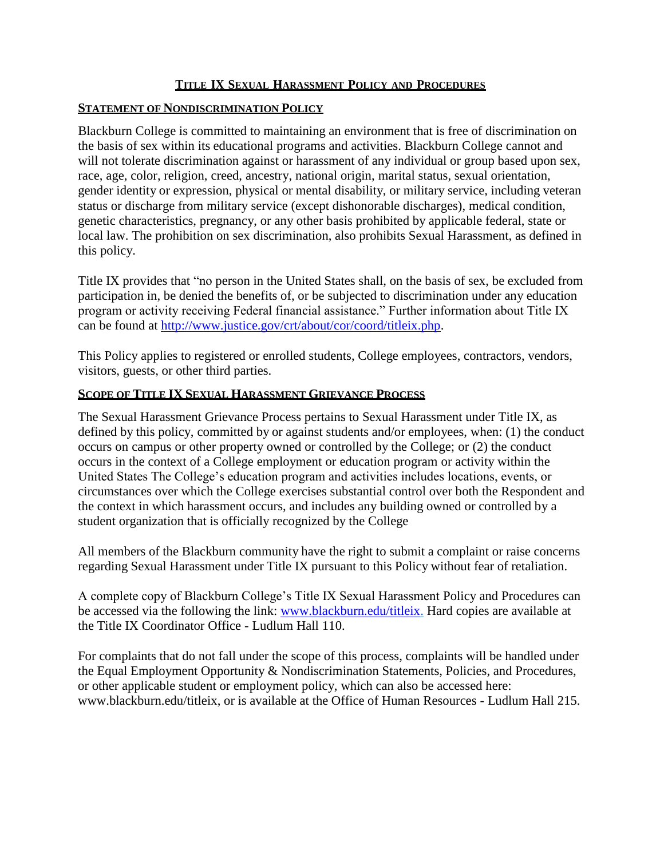#### **TITLE IX SEXUAL HARASSMENT POLICY AND PROCEDURES**

#### **STATEMENT OF NONDISCRIMINATION POLICY**

Blackburn College is committed to maintaining an environment that is free of discrimination on the basis of sex within its educational programs and activities. Blackburn College cannot and will not tolerate discrimination against or harassment of any individual or group based upon sex, race, age, color, religion, creed, ancestry, national origin, marital status, sexual orientation, gender identity or expression, physical or mental disability, or military service, including veteran status or discharge from military service (except dishonorable discharges), medical condition, genetic characteristics, pregnancy, or any other basis prohibited by applicable federal, state or local law. The prohibition on sex discrimination, also prohibits Sexual Harassment, as defined in this policy.

Title IX provides that "no person in the United States shall, on the basis of sex, be excluded from participation in, be denied the benefits of, or be subjected to discrimination under any education program or activity receiving Federal financial assistance." Further information about Title IX can be found at [http://www.justice.gov/crt/about/cor/coord/titleix.php.](http://www.justice.gov/crt/about/cor/coord/titleix.php)

This Policy applies to registered or enrolled students, College employees, contractors, vendors, visitors, guests, or other third parties.

#### **SCOPE OF TITLE IX SEXUAL HARASSMENT GRIEVANCE PROCESS**

The Sexual Harassment Grievance Process pertains to Sexual Harassment under Title IX, as defined by this policy, committed by or against students and/or employees, when: (1) the conduct occurs on campus or other property owned or controlled by the College; or (2) the conduct occurs in the context of a College employment or education program or activity within the United States The College's education program and activities includes locations, events, or circumstances over which the College exercises substantial control over both the Respondent and the context in which harassment occurs, and includes any building owned or controlled by a student organization that is officially recognized by the College

All members of the Blackburn community have the right to submit a complaint or raise concerns regarding Sexual Harassment under Title IX pursuant to this Policy without fear of retaliation.

A complete copy of Blackburn College's Title IX Sexual Harassment Policy and Procedures can be accessed via the following the link: [www.blackburn.edu/titleix.](http://www.blackburn.edu/titleix) Hard copies are available at the Title IX Coordinator Office - Ludlum Hall 110.

For complaints that do not fall under the scope of this process, complaints will be handled under the Equal Employment Opportunity & Nondiscrimination Statements, Policies, and Procedures, or other applicable student or employment policy, which can also be accessed here: [www.blackburn.edu/titleix,](http://www.blackburn.edu/titleix) or is available at the Office of Human Resources - Ludlum Hall 215.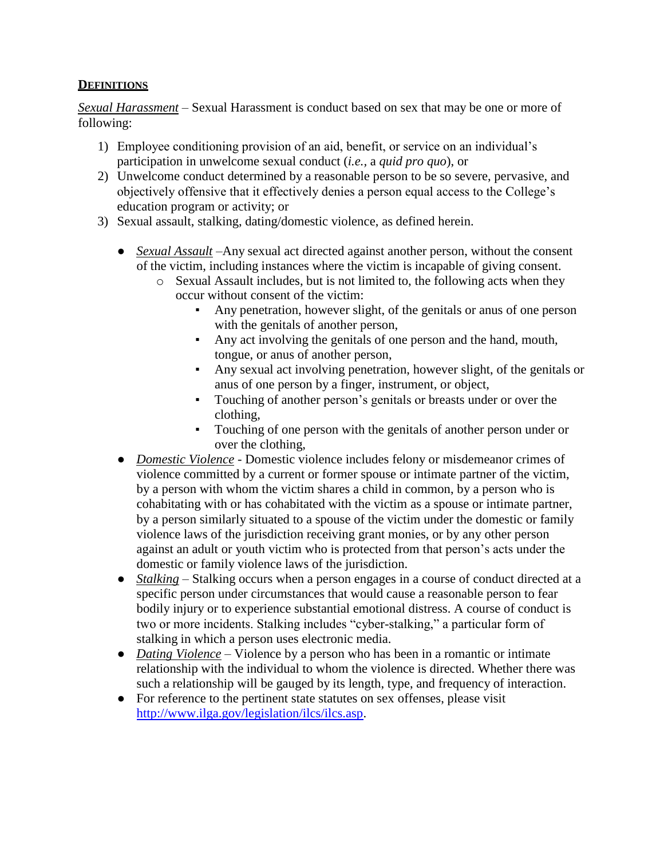### **DEFINITIONS**

*Sexual Harassment* – Sexual Harassment is conduct based on sex that may be one or more of following:

- 1) Employee conditioning provision of an aid, benefit, or service on an individual's participation in unwelcome sexual conduct (*i.e.,* a *quid pro quo*), or
- 2) Unwelcome conduct determined by a reasonable person to be so severe, pervasive, and objectively offensive that it effectively denies a person equal access to the College's education program or activity; or
- 3) Sexual assault, stalking, dating/domestic violence, as defined herein.
	- *Sexual Assault* –Any sexual act directed against another person, without the consent of the victim, including instances where the victim is incapable of giving consent.
		- o Sexual Assault includes, but is not limited to, the following acts when they occur without consent of the victim:
			- Any penetration, however slight, of the genitals or anus of one person with the genitals of another person,
			- Any act involving the genitals of one person and the hand, mouth, tongue, or anus of another person,
			- Any sexual act involving penetration, however slight, of the genitals or anus of one person by a finger, instrument, or object,
			- Touching of another person's genitals or breasts under or over the clothing,
			- Touching of one person with the genitals of another person under or over the clothing,
	- *Domestic Violence* Domestic violence includes felony or misdemeanor crimes of violence committed by a current or former spouse or intimate partner of the victim, by a person with whom the victim shares a child in common, by a person who is cohabitating with or has cohabitated with the victim as a spouse or intimate partner, by a person similarly situated to a spouse of the victim under the domestic or family violence laws of the jurisdiction receiving grant monies, or by any other person against an adult or youth victim who is protected from that person's acts under the domestic or family violence laws of the jurisdiction.
	- *Stalking* Stalking occurs when a person engages in a course of conduct directed at a specific person under circumstances that would cause a reasonable person to fear bodily injury or to experience substantial emotional distress. A course of conduct is two or more incidents. Stalking includes "cyber-stalking," a particular form of stalking in which a person uses electronic media.
	- *Dating Violence* Violence by a person who has been in a romantic or intimate relationship with the individual to whom the violence is directed. Whether there was such a relationship will be gauged by its length, type, and frequency of interaction.
	- For reference to the pertinent state statutes on sex offenses, please visit [http://www.ilga.gov/legislation/ilcs/ilcs.asp.](http://www.ilga.gov/legislation/ilcs/ilcs.asp)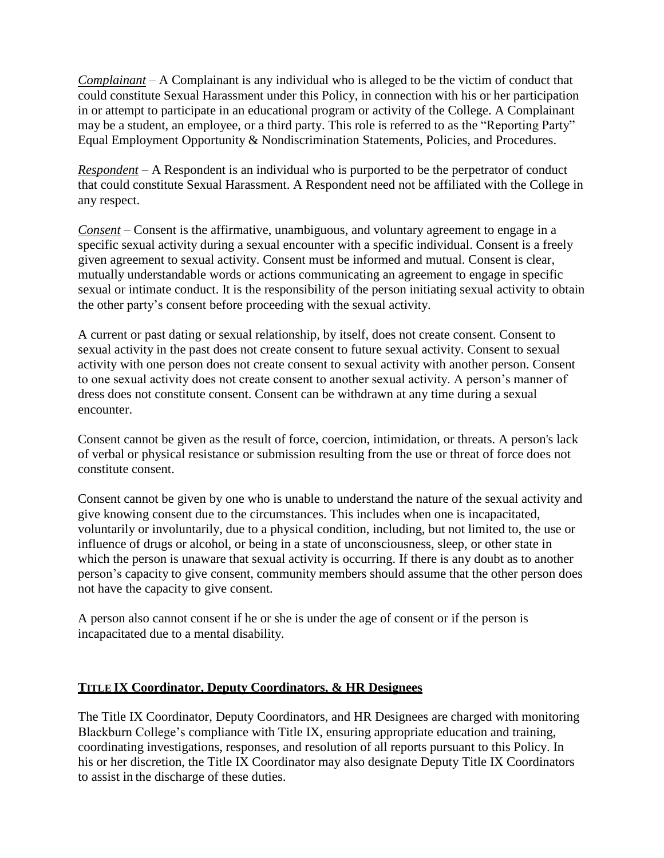*Complainant* – A Complainant is any individual who is alleged to be the victim of conduct that could constitute Sexual Harassment under this Policy, in connection with his or her participation in or attempt to participate in an educational program or activity of the College. A Complainant may be a student, an employee, or a third party. This role is referred to as the "Reporting Party" Equal Employment Opportunity & Nondiscrimination Statements, Policies, and Procedures.

*Respondent* – A Respondent is an individual who is purported to be the perpetrator of conduct that could constitute Sexual Harassment. A Respondent need not be affiliated with the College in any respect.

*Consent* – Consent is the affirmative, unambiguous, and voluntary agreement to engage in a specific sexual activity during a sexual encounter with a specific individual. Consent is a freely given agreement to sexual activity. Consent must be informed and mutual. Consent is clear, mutually understandable words or actions communicating an agreement to engage in specific sexual or intimate conduct. It is the responsibility of the person initiating sexual activity to obtain the other party's consent before proceeding with the sexual activity.

A current or past dating or sexual relationship, by itself, does not create consent. Consent to sexual activity in the past does not create consent to future sexual activity. Consent to sexual activity with one person does not create consent to sexual activity with another person. Consent to one sexual activity does not create consent to another sexual activity. A person's manner of dress does not constitute consent. Consent can be withdrawn at any time during a sexual encounter.

Consent cannot be given as the result of force, coercion, intimidation, or threats. A person's lack of verbal or physical resistance or submission resulting from the use or threat of force does not constitute consent.

Consent cannot be given by one who is unable to understand the nature of the sexual activity and give knowing consent due to the circumstances. This includes when one is incapacitated, voluntarily or involuntarily, due to a physical condition, including, but not limited to, the use or influence of drugs or alcohol, or being in a state of unconsciousness, sleep, or other state in which the person is unaware that sexual activity is occurring. If there is any doubt as to another person's capacity to give consent, community members should assume that the other person does not have the capacity to give consent.

A person also cannot consent if he or she is under the age of consent or if the person is incapacitated due to a mental disability.

### **TITLE IX Coordinator, Deputy Coordinators, & HR Designees**

The Title IX Coordinator, Deputy Coordinators, and HR Designees are charged with monitoring Blackburn College's compliance with Title IX, ensuring appropriate education and training, coordinating investigations, responses, and resolution of all reports pursuant to this Policy. In his or her discretion, the Title IX Coordinator may also designate Deputy Title IX Coordinators to assist in the discharge of these duties.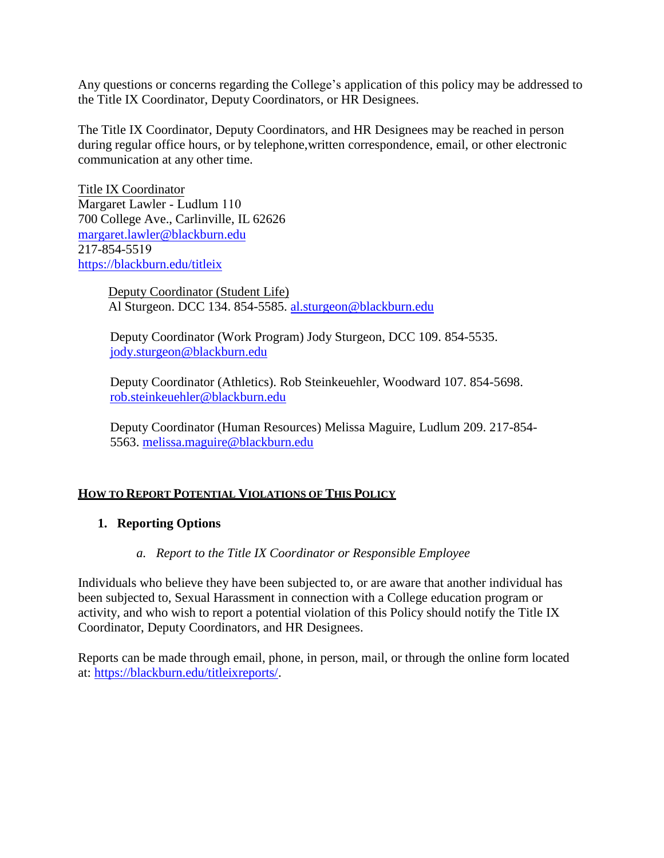Any questions or concerns regarding the College's application of this policy may be addressed to the Title IX Coordinator, Deputy Coordinators, or HR Designees.

The Title IX Coordinator, Deputy Coordinators, and HR Designees may be reached in person during regular office hours, or by telephone, written correspondence, email, or other electronic communication at any other time.

Title IX Coordinator Margaret Lawler - Ludlum 110 700 College Ave., Carlinville, IL 62626 [margaret.lawler@blackburn.edu](mailto:margaret.lawler@blackburn.edu) 217-854-5519 https://blackburn.edu/titleix

> Deputy Coordinator (Student Life) Al Sturgeon. DCC 134. 854-5585. [al.sturgeon@blackburn.edu](mailto:al.sturgeon@blackburn.edu)

Deputy Coordinator (Work Program) Jody Sturgeon, DCC 109. 854-5535. [jody.sturgeon@blackburn.edu](mailto:jody.sturgeon@blackburn.edu)

Deputy Coordinator (Athletics). Rob Steinkeuehler, Woodward 107. 854-5698. [rob.steinkeuehler@blackburn.edu](mailto:rob.steinkeuehler@blackburn.edu)

Deputy Coordinator (Human Resources) Melissa Maguire, Ludlum 209. 217-854- 5563. [melissa.maguire@blackburn.edu](mailto:melissa.maguire@blackburn.edu)

### **HOW TO REPORT POTENTIAL VIOLATIONS OF THIS POLICY**

### **1. Reporting Options**

#### *a. Report to the Title IX Coordinator or Responsible Employee*

Individuals who believe they have been subjected to, or are aware that another individual has been subjected to, Sexual Harassment in connection with a College education program or activity, and who wish to report a potential violation of this Policy should notify the Title IX Coordinator, Deputy Coordinators, and HR Designees.

Reports can be made through email, phone, in person, mail, or through the online form located at: [https://blackburn.edu/titleixreports/.](https://blackburn.edu/titleixreports/)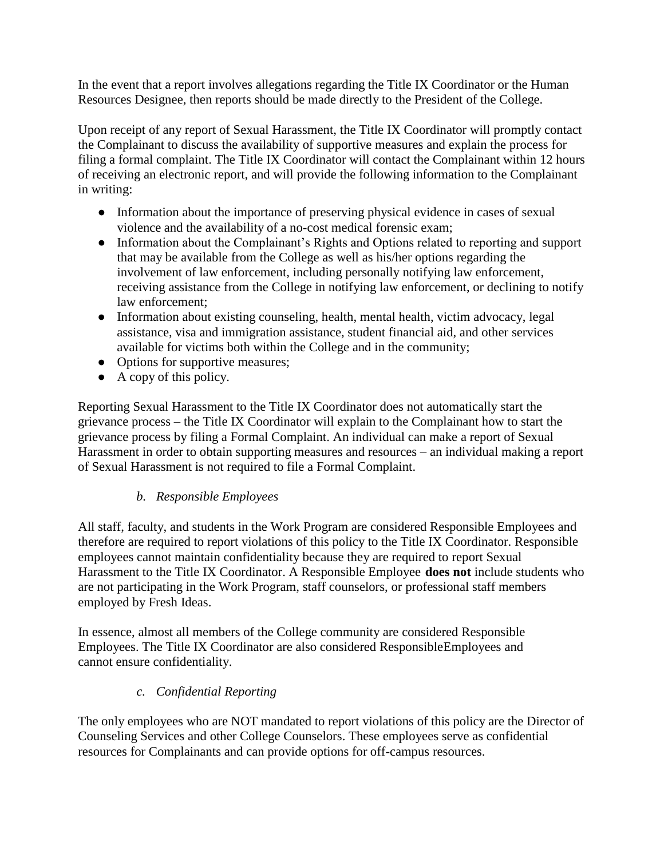In the event that a report involves allegations regarding the Title IX Coordinator or the Human Resources Designee, then reports should be made directly to the President of the College.

Upon receipt of any report of Sexual Harassment, the Title IX Coordinator will promptly contact the Complainant to discuss the availability of supportive measures and explain the process for filing a formal complaint. The Title IX Coordinator will contact the Complainant within 12 hours of receiving an electronic report, and will provide the following information to the Complainant in writing:

- Information about the importance of preserving physical evidence in cases of sexual violence and the availability of a no-cost medical forensic exam;
- Information about the Complainant's Rights and Options related to reporting and support that may be available from the College as well as his/her options regarding the involvement of law enforcement, including personally notifying law enforcement, receiving assistance from the College in notifying law enforcement, or declining to notify law enforcement;
- Information about existing counseling, health, mental health, victim advocacy, legal assistance, visa and immigration assistance, student financial aid, and other services available for victims both within the College and in the community;
- Options for supportive measures;
- $\bullet$  A copy of this policy.

Reporting Sexual Harassment to the Title IX Coordinator does not automatically start the grievance process – the Title IX Coordinator will explain to the Complainant how to start the grievance process by filing a Formal Complaint. An individual can make a report of Sexual Harassment in order to obtain supporting measures and resources – an individual making a report of Sexual Harassment is not required to file a Formal Complaint.

## *b. Responsible Employees*

All staff, faculty, and students in the Work Program are considered Responsible Employees and therefore are required to report violations of this policy to the Title IX Coordinator. Responsible employees cannot maintain confidentiality because they are required to report Sexual Harassment to the Title IX Coordinator. A Responsible Employee **does not** include students who are not participating in the Work Program, staff counselors, or professional staff members employed by Fresh Ideas.

In essence, almost all members of the College community are considered Responsible Employees. The Title IX Coordinator are also considered ResponsibleEmployees and cannot ensure confidentiality.

## *c. Confidential Reporting*

The only employees who are NOT mandated to report violations of this policy are the Director of Counseling Services and other College Counselors. These employees serve as confidential resources for Complainants and can provide options for off-campus resources.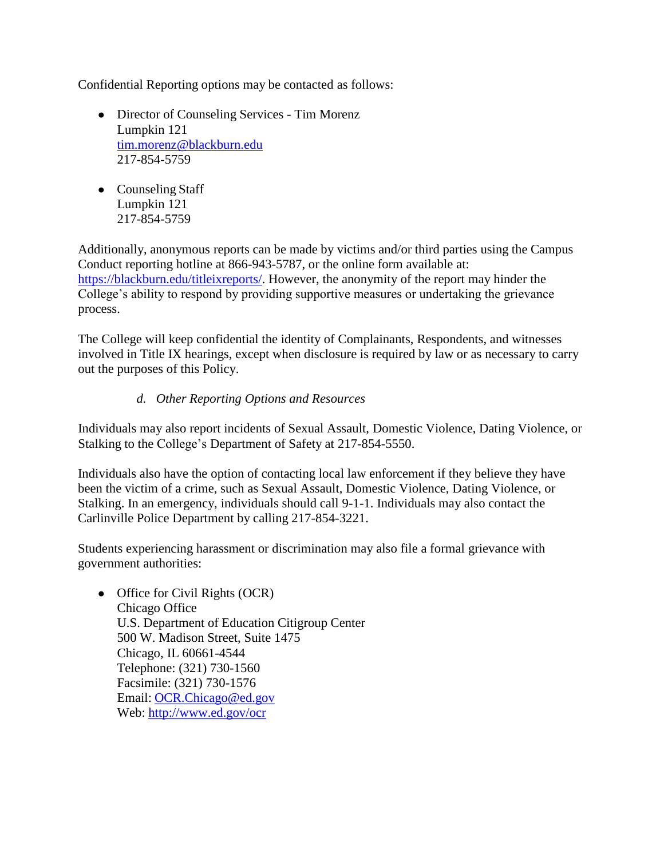Confidential Reporting options may be contacted as follows:

- Director of Counseling Services Tim Morenz Lumpkin 121 [tim.morenz@blackburn.edu](mailto:tim.morenz@blackburn.edu) 217-854-5759
- Counseling Staff Lumpkin 121 217-854-5759

Additionally, anonymous reports can be made by victims and/or third parties using the Campus Conduct reporting hotline at 866-943-5787, or the online form available at: [https://blackburn.edu/titleixreports/.](https://blackburn.edu/titleixreports/) However, the anonymity of the report may hinder the College's ability to respond by providing supportive measures or undertaking the grievance process.

The College will keep confidential the identity of Complainants, Respondents, and witnesses involved in Title IX hearings, except when disclosure is required by law or as necessary to carry out the purposes of this Policy.

## *d. Other Reporting Options and Resources*

Individuals may also report incidents of Sexual Assault, Domestic Violence, Dating Violence, or Stalking to the College's Department of Safety at 217-854-5550.

Individuals also have the option of contacting local law enforcement if they believe they have been the victim of a crime, such as Sexual Assault, Domestic Violence, Dating Violence, or Stalking. In an emergency, individuals should call 9-1-1. Individuals may also contact the Carlinville Police Department by calling 217-854-3221.

Students experiencing harassment or discrimination may also file a formal grievance with government authorities:

• Office for Civil Rights (OCR) Chicago Office U.S. Department of Education Citigroup Center 500 W. Madison Street, Suite 1475 Chicago, IL 60661-4544 Telephone: (321) 730-1560 Facsimile: (321) 730-1576 Email: [OCR.Chicago@ed.gov](mailto:OCR.Chicago@ed.gov) Web: <http://www.ed.gov/ocr>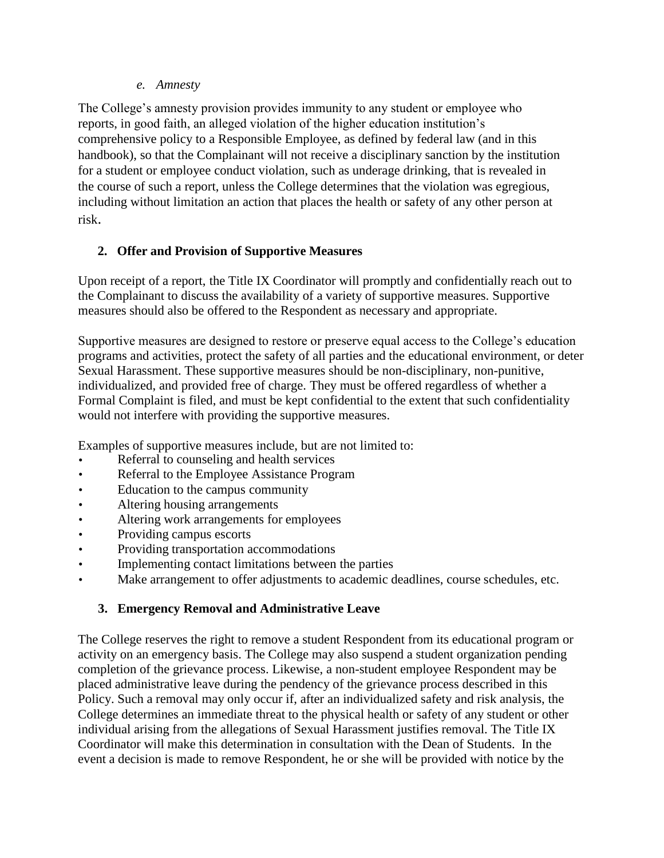*e. Amnesty*

The College's amnesty provision provides immunity to any student or employee who reports, in good faith, an alleged violation of the higher education institution's comprehensive policy to a Responsible Employee, as defined by federal law (and in this handbook), so that the Complainant will not receive a disciplinary sanction by the institution for a student or employee conduct violation, such as underage drinking, that is revealed in the course of such a report, unless the College determines that the violation was egregious, including without limitation an action that places the health or safety of any other person at risk.

## **2. Offer and Provision of Supportive Measures**

Upon receipt of a report, the Title IX Coordinator will promptly and confidentially reach out to the Complainant to discuss the availability of a variety of supportive measures. Supportive measures should also be offered to the Respondent as necessary and appropriate.

Supportive measures are designed to restore or preserve equal access to the College's education programs and activities, protect the safety of all parties and the educational environment, or deter Sexual Harassment. These supportive measures should be non-disciplinary, non-punitive, individualized, and provided free of charge. They must be offered regardless of whether a Formal Complaint is filed, and must be kept confidential to the extent that such confidentiality would not interfere with providing the supportive measures.

Examples of supportive measures include, but are not limited to:

- Referral to counseling and health services
- Referral to the Employee Assistance Program
- Education to the campus community
- Altering housing arrangements
- Altering work arrangements for employees
- Providing campus escorts
- Providing transportation accommodations
- Implementing contact limitations between the parties
- Make arrangement to offer adjustments to academic deadlines, course schedules, etc.

## **3. Emergency Removal and Administrative Leave**

The College reserves the right to remove a student Respondent from its educational program or activity on an emergency basis. The College may also suspend a student organization pending completion of the grievance process. Likewise, a non-student employee Respondent may be placed administrative leave during the pendency of the grievance process described in this Policy. Such a removal may only occur if, after an individualized safety and risk analysis, the College determines an immediate threat to the physical health or safety of any student or other individual arising from the allegations of Sexual Harassment justifies removal. The Title IX Coordinator will make this determination in consultation with the Dean of Students. In the event a decision is made to remove Respondent, he or she will be provided with notice by the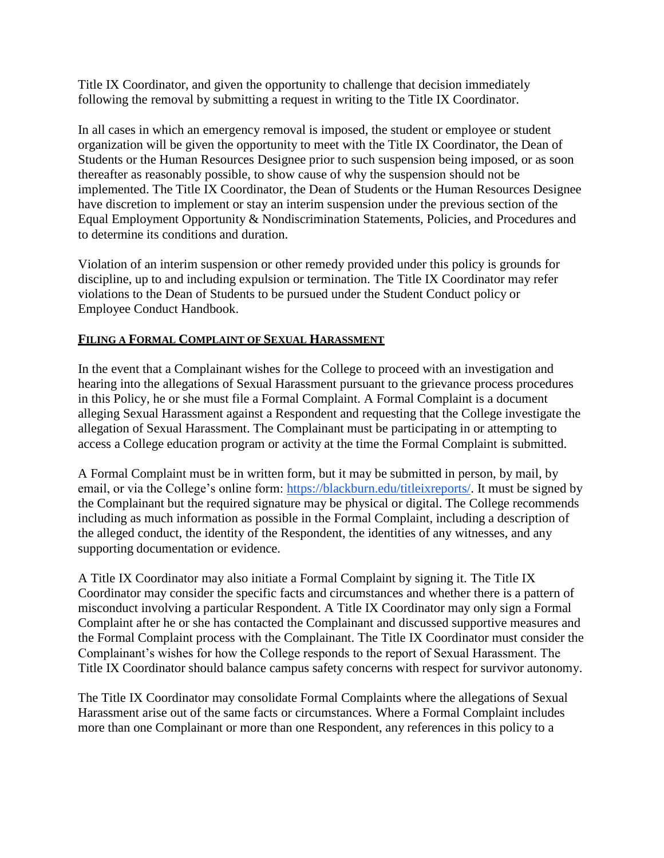Title IX Coordinator, and given the opportunity to challenge that decision immediately following the removal by submitting a request in writing to the Title IX Coordinator.

In all cases in which an emergency removal is imposed, the student or employee or student organization will be given the opportunity to meet with the Title IX Coordinator, the Dean of Students or the Human Resources Designee prior to such suspension being imposed, or as soon thereafter as reasonably possible, to show cause of why the suspension should not be implemented. The Title IX Coordinator, the Dean of Students or the Human Resources Designee have discretion to implement or stay an interim suspension under the previous section of the Equal Employment Opportunity & Nondiscrimination Statements, Policies, and Procedures and to determine its conditions and duration.

Violation of an interim suspension or other remedy provided under this policy is grounds for discipline, up to and including expulsion or termination. The Title IX Coordinator may refer violations to the Dean of Students to be pursued under the Student Conduct policy or Employee Conduct Handbook.

### **FILING A FORMAL COMPLAINT OF SEXUAL HARASSMENT**

In the event that a Complainant wishes for the College to proceed with an investigation and hearing into the allegations of Sexual Harassment pursuant to the grievance process procedures in this Policy, he or she must file a Formal Complaint. A Formal Complaint is a document alleging Sexual Harassment against a Respondent and requesting that the College investigate the allegation of Sexual Harassment. The Complainant must be participating in or attempting to access a College education program or activity at the time the Formal Complaint is submitted.

A Formal Complaint must be in written form, but it may be submitted in person, by mail, by email, or via the College's online form: [https://blackburn.edu/titleixreports/.](https://blackburn.edu/titleixreports/) It must be signed by the Complainant but the required signature may be physical or digital. The College recommends including as much information as possible in the Formal Complaint, including a description of the alleged conduct, the identity of the Respondent, the identities of any witnesses, and any supporting documentation or evidence.

A Title IX Coordinator may also initiate a Formal Complaint by signing it. The Title IX Coordinator may consider the specific facts and circumstances and whether there is a pattern of misconduct involving a particular Respondent. A Title IX Coordinator may only sign a Formal Complaint after he or she has contacted the Complainant and discussed supportive measures and the Formal Complaint process with the Complainant. The Title IX Coordinator must consider the Complainant's wishes for how the College responds to the report of Sexual Harassment. The Title IX Coordinator should balance campus safety concerns with respect for survivor autonomy.

The Title IX Coordinator may consolidate Formal Complaints where the allegations of Sexual Harassment arise out of the same facts or circumstances. Where a Formal Complaint includes more than one Complainant or more than one Respondent, any references in this policy to a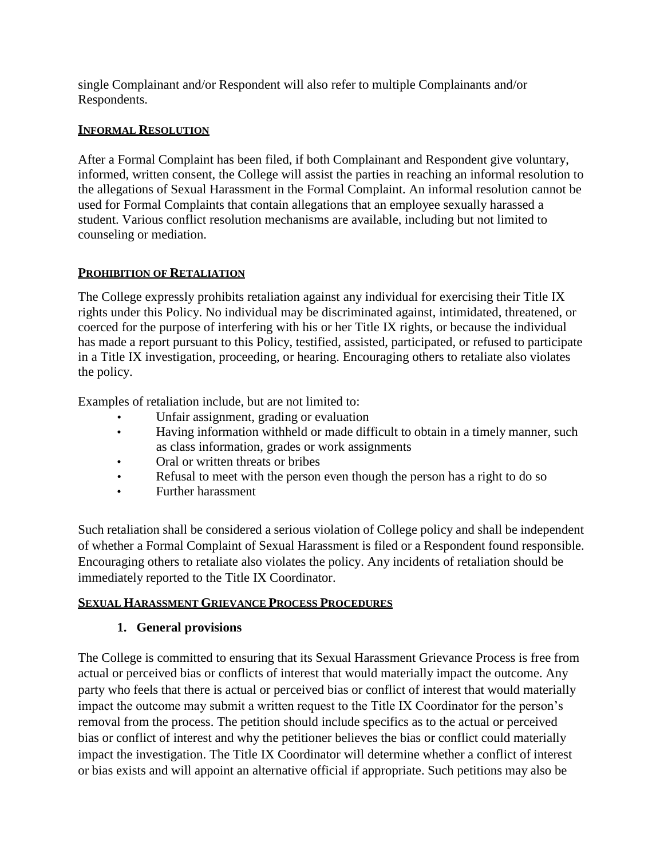single Complainant and/or Respondent will also refer to multiple Complainants and/or Respondents.

### **INFORMAL RESOLUTION**

After a Formal Complaint has been filed, if both Complainant and Respondent give voluntary, informed, written consent, the College will assist the parties in reaching an informal resolution to the allegations of Sexual Harassment in the Formal Complaint. An informal resolution cannot be used for Formal Complaints that contain allegations that an employee sexually harassed a student. Various conflict resolution mechanisms are available, including but not limited to counseling or mediation.

## **PROHIBITION OF RETALIATION**

The College expressly prohibits retaliation against any individual for exercising their Title IX rights under this Policy. No individual may be discriminated against, intimidated, threatened, or coerced for the purpose of interfering with his or her Title IX rights, or because the individual has made a report pursuant to this Policy, testified, assisted, participated, or refused to participate in a Title IX investigation, proceeding, or hearing. Encouraging others to retaliate also violates the policy.

Examples of retaliation include, but are not limited to:

- Unfair assignment, grading or evaluation
- Having information withheld or made difficult to obtain in a timely manner, such as class information, grades or work assignments
- Oral or written threats or bribes
- Refusal to meet with the person even though the person has a right to do so
- Further harassment

Such retaliation shall be considered a serious violation of College policy and shall be independent of whether a Formal Complaint of Sexual Harassment is filed or a Respondent found responsible. Encouraging others to retaliate also violates the policy. Any incidents of retaliation should be immediately reported to the Title IX Coordinator.

### **SEXUAL HARASSMENT GRIEVANCE PROCESS PROCEDURES**

## **1. General provisions**

The College is committed to ensuring that its Sexual Harassment Grievance Process is free from actual or perceived bias or conflicts of interest that would materially impact the outcome. Any party who feels that there is actual or perceived bias or conflict of interest that would materially impact the outcome may submit a written request to the Title IX Coordinator for the person's removal from the process. The petition should include specifics as to the actual or perceived bias or conflict of interest and why the petitioner believes the bias or conflict could materially impact the investigation. The Title IX Coordinator will determine whether a conflict of interest or bias exists and will appoint an alternative official if appropriate. Such petitions may also be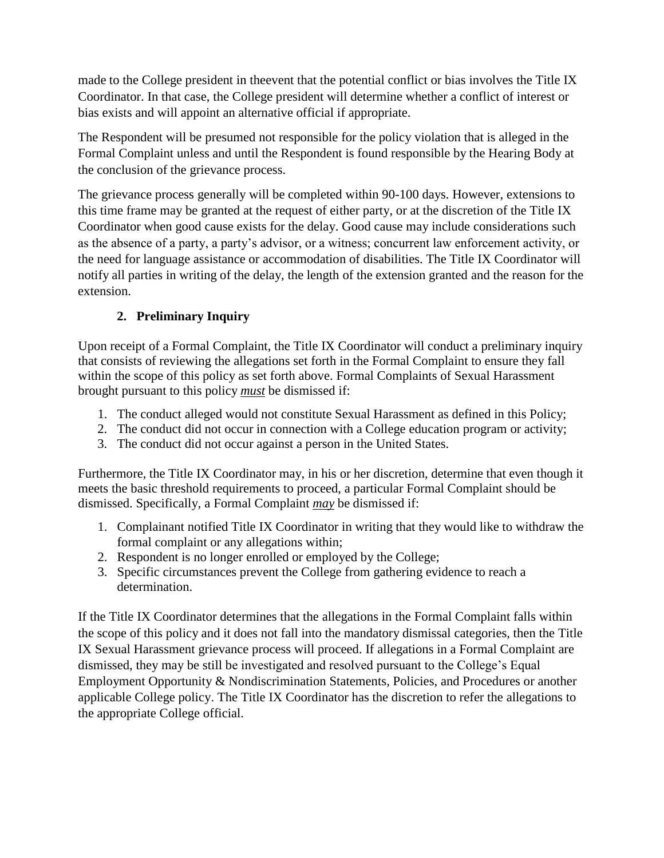made to the College president in theevent that the potential conflict or bias involves the Title IX Coordinator. In that case, the College president will determine whether a conflict of interest or bias exists and will appoint an alternative official if appropriate.

The Respondent will be presumed not responsible for the policy violation that is alleged in the Formal Complaint unless and until the Respondent is found responsible by the Hearing Body at the conclusion of the grievance process.

The grievance process generally will be completed within 90-100 days. However, extensions to this time frame may be granted at the request of either party, or at the discretion of the Title IX Coordinator when good cause exists for the delay. Good cause may include considerations such as the absence of a party, a party's advisor, or a witness; concurrent law enforcement activity, or the need for language assistance or accommodation of disabilities. The Title IX Coordinator will notify all parties in writing of the delay, the length of the extension granted and the reason for the extension.

# **2. Preliminary Inquiry**

Upon receipt of a Formal Complaint, the Title IX Coordinator will conduct a preliminary inquiry that consists of reviewing the allegations set forth in the Formal Complaint to ensure they fall within the scope of this policy as set forth above. Formal Complaints of Sexual Harassment brought pursuant to this policy *must* be dismissed if:

- 1. The conduct alleged would not constitute Sexual Harassment as defined in this Policy;
- 2. The conduct did not occur in connection with a College education program or activity;
- 3. The conduct did not occur against a person in the United States.

Furthermore, the Title IX Coordinator may, in his or her discretion, determine that even though it meets the basic threshold requirements to proceed, a particular Formal Complaint should be dismissed. Specifically, a Formal Complaint *may* be dismissed if:

- 1. Complainant notified Title IX Coordinator in writing that they would like to withdraw the formal complaint or any allegations within;
- 2. Respondent is no longer enrolled or employed by the College;
- 3. Specific circumstances prevent the College from gathering evidence to reach a determination.

If the Title IX Coordinator determines that the allegations in the Formal Complaint falls within the scope of this policy and it does not fall into the mandatory dismissal categories, then the Title IX Sexual Harassment grievance process will proceed. If allegations in a Formal Complaint are dismissed, they may be still be investigated and resolved pursuant to the College's Equal Employment Opportunity & Nondiscrimination Statements, Policies, and Procedures or another applicable College policy. The Title IX Coordinator has the discretion to refer the allegations to the appropriate College official.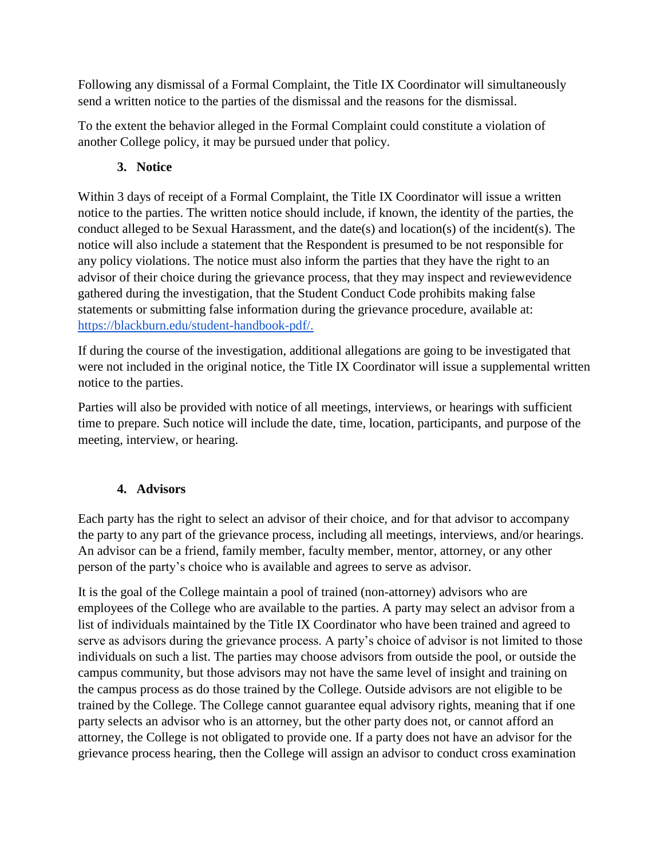Following any dismissal of a Formal Complaint, the Title IX Coordinator will simultaneously send a written notice to the parties of the dismissal and the reasons for the dismissal.

To the extent the behavior alleged in the Formal Complaint could constitute a violation of another College policy, it may be pursued under that policy.

# **3. Notice**

Within 3 days of receipt of a Formal Complaint, the Title IX Coordinator will issue a written notice to the parties. The written notice should include, if known, the identity of the parties, the conduct alleged to be Sexual Harassment, and the date(s) and location(s) of the incident(s). The notice will also include a statement that the Respondent is presumed to be not responsible for any policy violations. The notice must also inform the parties that they have the right to an advisor of their choice during the grievance process, that they may inspect and reviewevidence gathered during the investigation, that the Student Conduct Code prohibits making false statements or submitting false information during the grievance procedure, available at: [https://blackburn.edu/student-handbook-pdf/.](https://blackburn.edu/student-handbook-pdf/)

If during the course of the investigation, additional allegations are going to be investigated that were not included in the original notice, the Title IX Coordinator will issue a supplemental written notice to the parties.

Parties will also be provided with notice of all meetings, interviews, or hearings with sufficient time to prepare. Such notice will include the date, time, location, participants, and purpose of the meeting, interview, or hearing.

# **4. Advisors**

Each party has the right to select an advisor of their choice, and for that advisor to accompany the party to any part of the grievance process, including all meetings, interviews, and/or hearings. An advisor can be a friend, family member, faculty member, mentor, attorney, or any other person of the party's choice who is available and agrees to serve as advisor.

It is the goal of the College maintain a pool of trained (non-attorney) advisors who are employees of the College who are available to the parties. A party may select an advisor from a list of individuals maintained by the Title IX Coordinator who have been trained and agreed to serve as advisors during the grievance process. A party's choice of advisor is not limited to those individuals on such a list. The parties may choose advisors from outside the pool, or outside the campus community, but those advisors may not have the same level of insight and training on the campus process as do those trained by the College. Outside advisors are not eligible to be trained by the College. The College cannot guarantee equal advisory rights, meaning that if one party selects an advisor who is an attorney, but the other party does not, or cannot afford an attorney, the College is not obligated to provide one. If a party does not have an advisor for the grievance process hearing, then the College will assign an advisor to conduct cross examination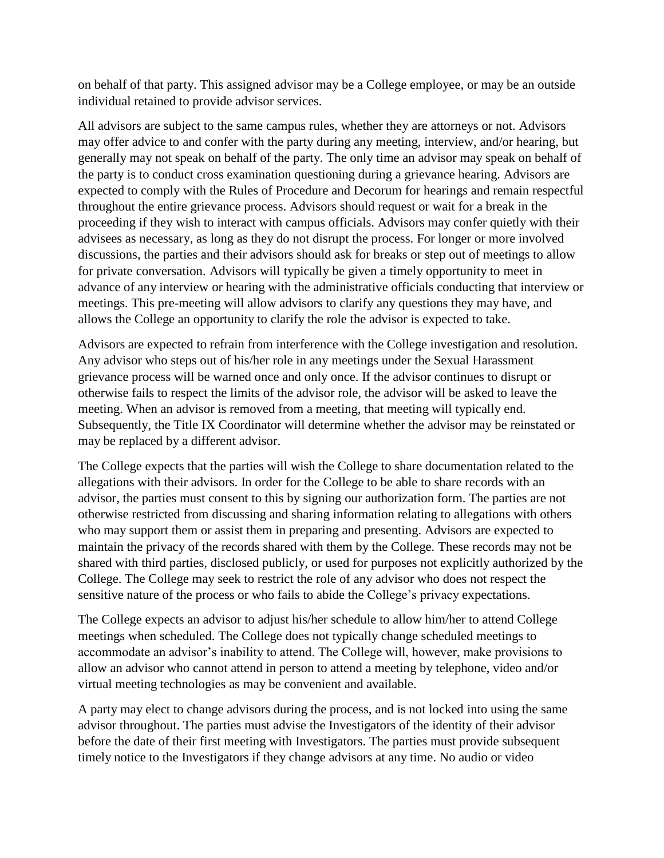on behalf of that party. This assigned advisor may be a College employee, or may be an outside individual retained to provide advisor services.

All advisors are subject to the same campus rules, whether they are attorneys or not. Advisors may offer advice to and confer with the party during any meeting, interview, and/or hearing, but generally may not speak on behalf of the party. The only time an advisor may speak on behalf of the party is to conduct cross examination questioning during a grievance hearing. Advisors are expected to comply with the Rules of Procedure and Decorum for hearings and remain respectful throughout the entire grievance process. Advisors should request or wait for a break in the proceeding if they wish to interact with campus officials. Advisors may confer quietly with their advisees as necessary, as long as they do not disrupt the process. For longer or more involved discussions, the parties and their advisors should ask for breaks or step out of meetings to allow for private conversation. Advisors will typically be given a timely opportunity to meet in advance of any interview or hearing with the administrative officials conducting that interview or meetings. This pre-meeting will allow advisors to clarify any questions they may have, and allows the College an opportunity to clarify the role the advisor is expected to take.

Advisors are expected to refrain from interference with the College investigation and resolution. Any advisor who steps out of his/her role in any meetings under the Sexual Harassment grievance process will be warned once and only once. If the advisor continues to disrupt or otherwise fails to respect the limits of the advisor role, the advisor will be asked to leave the meeting. When an advisor is removed from a meeting, that meeting will typically end. Subsequently, the Title IX Coordinator will determine whether the advisor may be reinstated or may be replaced by a different advisor.

The College expects that the parties will wish the College to share documentation related to the allegations with their advisors. In order for the College to be able to share records with an advisor, the parties must consent to this by signing our authorization form. The parties are not otherwise restricted from discussing and sharing information relating to allegations with others who may support them or assist them in preparing and presenting. Advisors are expected to maintain the privacy of the records shared with them by the College. These records may not be shared with third parties, disclosed publicly, or used for purposes not explicitly authorized by the College. The College may seek to restrict the role of any advisor who does not respect the sensitive nature of the process or who fails to abide the College's privacy expectations.

The College expects an advisor to adjust his/her schedule to allow him/her to attend College meetings when scheduled. The College does not typically change scheduled meetings to accommodate an advisor's inability to attend. The College will, however, make provisions to allow an advisor who cannot attend in person to attend a meeting by telephone, video and/or virtual meeting technologies as may be convenient and available.

A party may elect to change advisors during the process, and is not locked into using the same advisor throughout. The parties must advise the Investigators of the identity of their advisor before the date of their first meeting with Investigators. The parties must provide subsequent timely notice to the Investigators if they change advisors at any time. No audio or video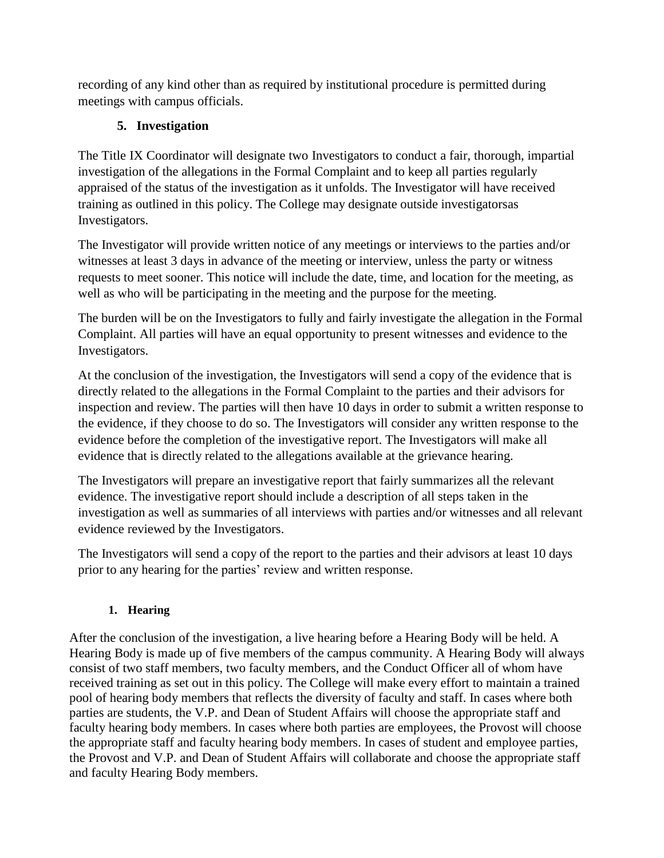recording of any kind other than as required by institutional procedure is permitted during meetings with campus officials.

# **5. Investigation**

The Title IX Coordinator will designate two Investigators to conduct a fair, thorough, impartial investigation of the allegations in the Formal Complaint and to keep all parties regularly appraised of the status of the investigation as it unfolds. The Investigator will have received training as outlined in this policy. The College may designate outside investigatorsas Investigators.

The Investigator will provide written notice of any meetings or interviews to the parties and/or witnesses at least 3 days in advance of the meeting or interview, unless the party or witness requests to meet sooner. This notice will include the date, time, and location for the meeting, as well as who will be participating in the meeting and the purpose for the meeting.

The burden will be on the Investigators to fully and fairly investigate the allegation in the Formal Complaint. All parties will have an equal opportunity to present witnesses and evidence to the Investigators.

At the conclusion of the investigation, the Investigators will send a copy of the evidence that is directly related to the allegations in the Formal Complaint to the parties and their advisors for inspection and review. The parties will then have 10 days in order to submit a written response to the evidence, if they choose to do so. The Investigators will consider any written response to the evidence before the completion of the investigative report. The Investigators will make all evidence that is directly related to the allegations available at the grievance hearing.

The Investigators will prepare an investigative report that fairly summarizes all the relevant evidence. The investigative report should include a description of all steps taken in the investigation as well as summaries of all interviews with parties and/or witnesses and all relevant evidence reviewed by the Investigators.

The Investigators will send a copy of the report to the parties and their advisors at least 10 days prior to any hearing for the parties' review and written response.

## **1. Hearing**

After the conclusion of the investigation, a live hearing before a Hearing Body will be held. A Hearing Body is made up of five members of the campus community. A Hearing Body will always consist of two staff members, two faculty members, and the Conduct Officer all of whom have received training as set out in this policy. The College will make every effort to maintain a trained pool of hearing body members that reflects the diversity of faculty and staff. In cases where both parties are students, the V.P. and Dean of Student Affairs will choose the appropriate staff and faculty hearing body members. In cases where both parties are employees, the Provost will choose the appropriate staff and faculty hearing body members. In cases of student and employee parties, the Provost and V.P. and Dean of Student Affairs will collaborate and choose the appropriate staff and faculty Hearing Body members.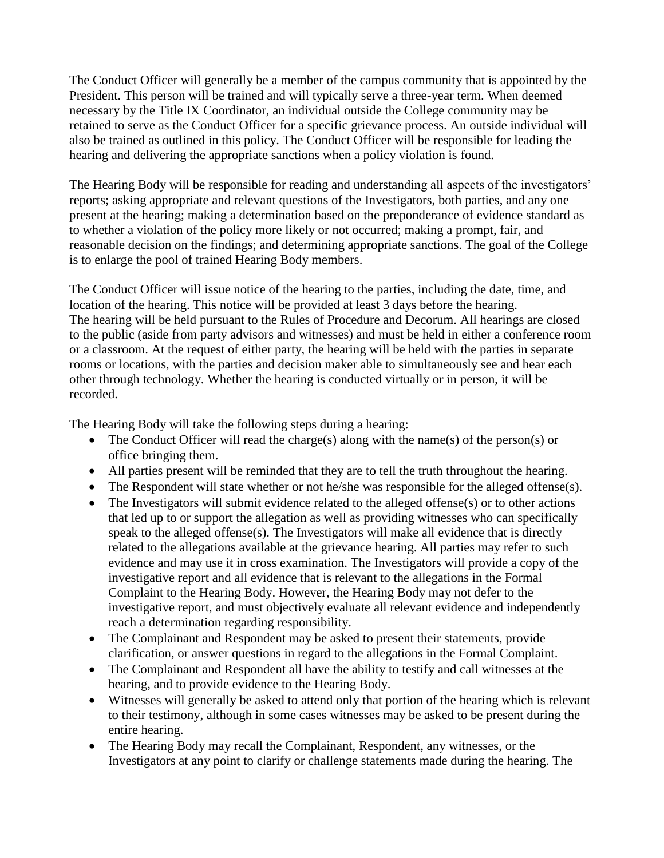The Conduct Officer will generally be a member of the campus community that is appointed by the President. This person will be trained and will typically serve a three-year term. When deemed necessary by the Title IX Coordinator, an individual outside the College community may be retained to serve as the Conduct Officer for a specific grievance process. An outside individual will also be trained as outlined in this policy. The Conduct Officer will be responsible for leading the hearing and delivering the appropriate sanctions when a policy violation is found.

The Hearing Body will be responsible for reading and understanding all aspects of the investigators' reports; asking appropriate and relevant questions of the Investigators, both parties, and any one present at the hearing; making a determination based on the preponderance of evidence standard as to whether a violation of the policy more likely or not occurred; making a prompt, fair, and reasonable decision on the findings; and determining appropriate sanctions. The goal of the College is to enlarge the pool of trained Hearing Body members.

The Conduct Officer will issue notice of the hearing to the parties, including the date, time, and location of the hearing. This notice will be provided at least 3 days before the hearing. The hearing will be held pursuant to the Rules of Procedure and Decorum. All hearings are closed to the public (aside from party advisors and witnesses) and must be held in either a conference room or a classroom. At the request of either party, the hearing will be held with the parties in separate rooms or locations, with the parties and decision maker able to simultaneously see and hear each other through technology. Whether the hearing is conducted virtually or in person, it will be recorded.

The Hearing Body will take the following steps during a hearing:

- The Conduct Officer will read the charge(s) along with the name(s) of the person(s) or office bringing them.
- All parties present will be reminded that they are to tell the truth throughout the hearing.
- The Respondent will state whether or not he/she was responsible for the alleged offense(s).
- The Investigators will submit evidence related to the alleged offense(s) or to other actions that led up to or support the allegation as well as providing witnesses who can specifically speak to the alleged offense(s). The Investigators will make all evidence that is directly related to the allegations available at the grievance hearing. All parties may refer to such evidence and may use it in cross examination. The Investigators will provide a copy of the investigative report and all evidence that is relevant to the allegations in the Formal Complaint to the Hearing Body. However, the Hearing Body may not defer to the investigative report, and must objectively evaluate all relevant evidence and independently reach a determination regarding responsibility.
- The Complainant and Respondent may be asked to present their statements, provide clarification, or answer questions in regard to the allegations in the Formal Complaint.
- The Complainant and Respondent all have the ability to testify and call witnesses at the hearing, and to provide evidence to the Hearing Body.
- Witnesses will generally be asked to attend only that portion of the hearing which is relevant to their testimony, although in some cases witnesses may be asked to be present during the entire hearing.
- The Hearing Body may recall the Complainant, Respondent, any witnesses, or the Investigators at any point to clarify or challenge statements made during the hearing. The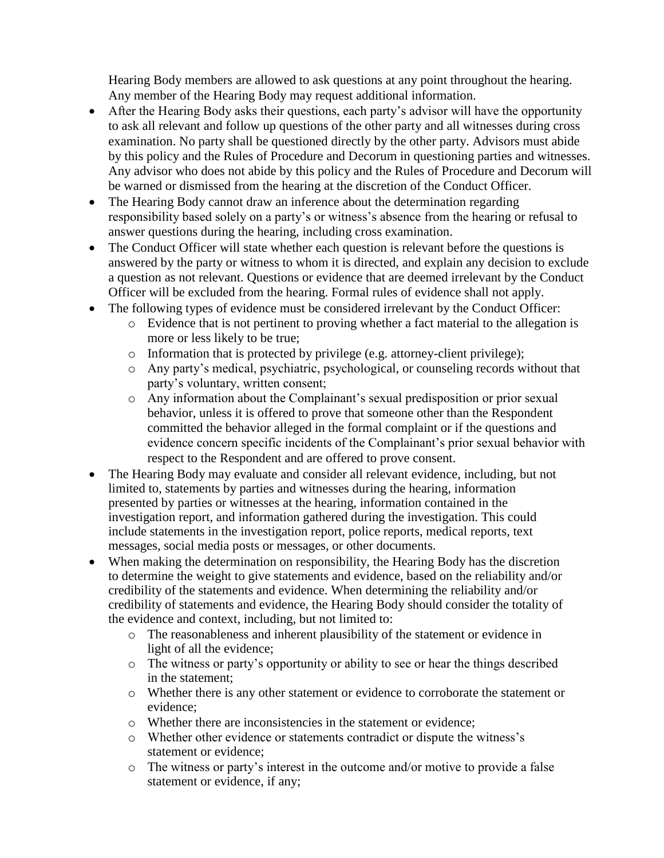Hearing Body members are allowed to ask questions at any point throughout the hearing. Any member of the Hearing Body may request additional information.

- After the Hearing Body asks their questions, each party's advisor will have the opportunity to ask all relevant and follow up questions of the other party and all witnesses during cross examination. No party shall be questioned directly by the other party. Advisors must abide by this policy and the Rules of Procedure and Decorum in questioning parties and witnesses. Any advisor who does not abide by this policy and the Rules of Procedure and Decorum will be warned or dismissed from the hearing at the discretion of the Conduct Officer.
- The Hearing Body cannot draw an inference about the determination regarding responsibility based solely on a party's or witness's absence from the hearing or refusal to answer questions during the hearing, including cross examination.
- The Conduct Officer will state whether each question is relevant before the questions is answered by the party or witness to whom it is directed, and explain any decision to exclude a question as not relevant. Questions or evidence that are deemed irrelevant by the Conduct Officer will be excluded from the hearing. Formal rules of evidence shall not apply.
- The following types of evidence must be considered irrelevant by the Conduct Officer:
	- o Evidence that is not pertinent to proving whether a fact material to the allegation is more or less likely to be true;
	- o Information that is protected by privilege (e.g. attorney-client privilege);
	- o Any party's medical, psychiatric, psychological, or counseling records without that party's voluntary, written consent;
	- o Any information about the Complainant's sexual predisposition or prior sexual behavior, unless it is offered to prove that someone other than the Respondent committed the behavior alleged in the formal complaint or if the questions and evidence concern specific incidents of the Complainant's prior sexual behavior with respect to the Respondent and are offered to prove consent.
- The Hearing Body may evaluate and consider all relevant evidence, including, but not limited to, statements by parties and witnesses during the hearing, information presented by parties or witnesses at the hearing, information contained in the investigation report, and information gathered during the investigation. This could include statements in the investigation report, police reports, medical reports, text messages, social media posts or messages, or other documents.
- When making the determination on responsibility, the Hearing Body has the discretion to determine the weight to give statements and evidence, based on the reliability and/or credibility of the statements and evidence. When determining the reliability and/or credibility of statements and evidence, the Hearing Body should consider the totality of the evidence and context, including, but not limited to:
	- o The reasonableness and inherent plausibility of the statement or evidence in light of all the evidence;
	- o The witness or party's opportunity or ability to see or hear the things described in the statement;
	- o Whether there is any other statement or evidence to corroborate the statement or evidence;
	- o Whether there are inconsistencies in the statement or evidence;
	- o Whether other evidence or statements contradict or dispute the witness's statement or evidence;
	- o The witness or party's interest in the outcome and/or motive to provide a false statement or evidence, if any;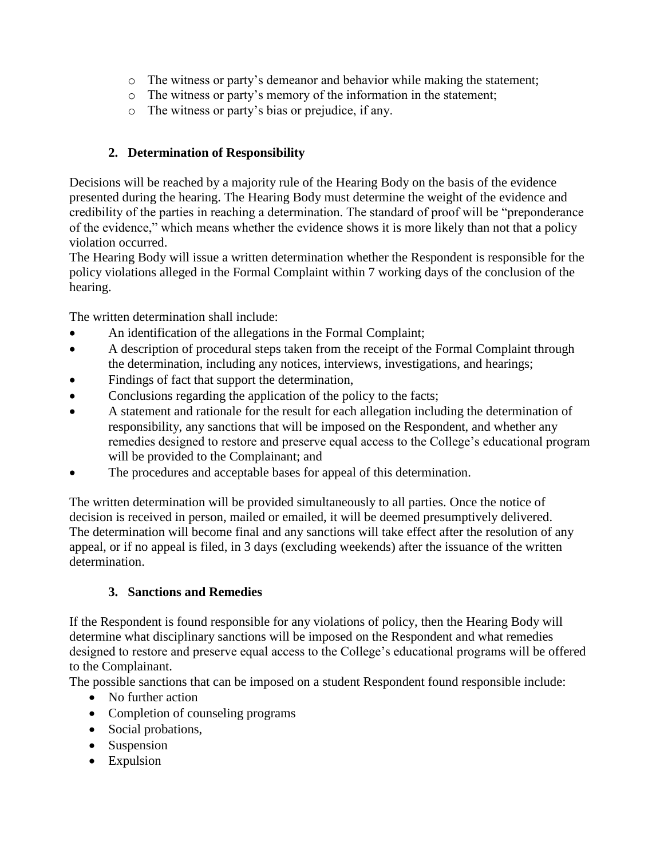- o The witness or party's demeanor and behavior while making the statement;
- o The witness or party's memory of the information in the statement;
- o The witness or party's bias or prejudice, if any.

## **2. Determination of Responsibility**

Decisions will be reached by a majority rule of the Hearing Body on the basis of the evidence presented during the hearing. The Hearing Body must determine the weight of the evidence and credibility of the parties in reaching a determination. The standard of proof will be "preponderance of the evidence," which means whether the evidence shows it is more likely than not that a policy violation occurred.

The Hearing Body will issue a written determination whether the Respondent is responsible for the policy violations alleged in the Formal Complaint within 7 working days of the conclusion of the hearing.

The written determination shall include:

- An identification of the allegations in the Formal Complaint;
- A description of procedural steps taken from the receipt of the Formal Complaint through the determination, including any notices, interviews, investigations, and hearings;
- Findings of fact that support the determination,
- Conclusions regarding the application of the policy to the facts;
- A statement and rationale for the result for each allegation including the determination of responsibility, any sanctions that will be imposed on the Respondent, and whether any remedies designed to restore and preserve equal access to the College's educational program will be provided to the Complainant; and
- The procedures and acceptable bases for appeal of this determination.

The written determination will be provided simultaneously to all parties. Once the notice of decision is received in person, mailed or emailed, it will be deemed presumptively delivered. The determination will become final and any sanctions will take effect after the resolution of any appeal, or if no appeal is filed, in 3 days (excluding weekends) after the issuance of the written determination.

### **3. Sanctions and Remedies**

If the Respondent is found responsible for any violations of policy, then the Hearing Body will determine what disciplinary sanctions will be imposed on the Respondent and what remedies designed to restore and preserve equal access to the College's educational programs will be offered to the Complainant.

The possible sanctions that can be imposed on a student Respondent found responsible include:

- No further action
- Completion of counseling programs
- Social probations,
- Suspension
- Expulsion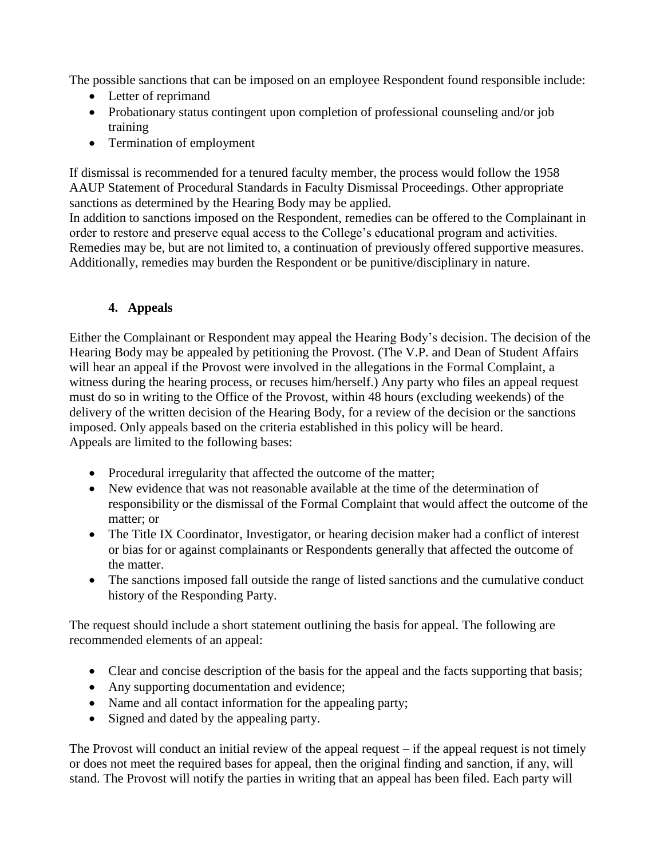The possible sanctions that can be imposed on an employee Respondent found responsible include:

- Letter of reprimand
- Probationary status contingent upon completion of professional counseling and/or job training
- Termination of employment

If dismissal is recommended for a tenured faculty member, the process would follow the 1958 AAUP Statement of Procedural Standards in Faculty Dismissal Proceedings. Other appropriate sanctions as determined by the Hearing Body may be applied.

In addition to sanctions imposed on the Respondent, remedies can be offered to the Complainant in order to restore and preserve equal access to the College's educational program and activities. Remedies may be, but are not limited to, a continuation of previously offered supportive measures. Additionally, remedies may burden the Respondent or be punitive/disciplinary in nature.

# **4. Appeals**

Either the Complainant or Respondent may appeal the Hearing Body's decision. The decision of the Hearing Body may be appealed by petitioning the Provost. (The V.P. and Dean of Student Affairs will hear an appeal if the Provost were involved in the allegations in the Formal Complaint, a witness during the hearing process, or recuses him/herself.) Any party who files an appeal request must do so in writing to the Office of the Provost, within 48 hours (excluding weekends) of the delivery of the written decision of the Hearing Body, for a review of the decision or the sanctions imposed. Only appeals based on the criteria established in this policy will be heard. Appeals are limited to the following bases:

- Procedural irregularity that affected the outcome of the matter;
- New evidence that was not reasonable available at the time of the determination of responsibility or the dismissal of the Formal Complaint that would affect the outcome of the matter; or
- The Title IX Coordinator, Investigator, or hearing decision maker had a conflict of interest or bias for or against complainants or Respondents generally that affected the outcome of the matter.
- The sanctions imposed fall outside the range of listed sanctions and the cumulative conduct history of the Responding Party.

The request should include a short statement outlining the basis for appeal. The following are recommended elements of an appeal:

- Clear and concise description of the basis for the appeal and the facts supporting that basis;
- Any supporting documentation and evidence;
- Name and all contact information for the appealing party;
- Signed and dated by the appealing party.

The Provost will conduct an initial review of the appeal request – if the appeal request is not timely or does not meet the required bases for appeal, then the original finding and sanction, if any, will stand. The Provost will notify the parties in writing that an appeal has been filed. Each party will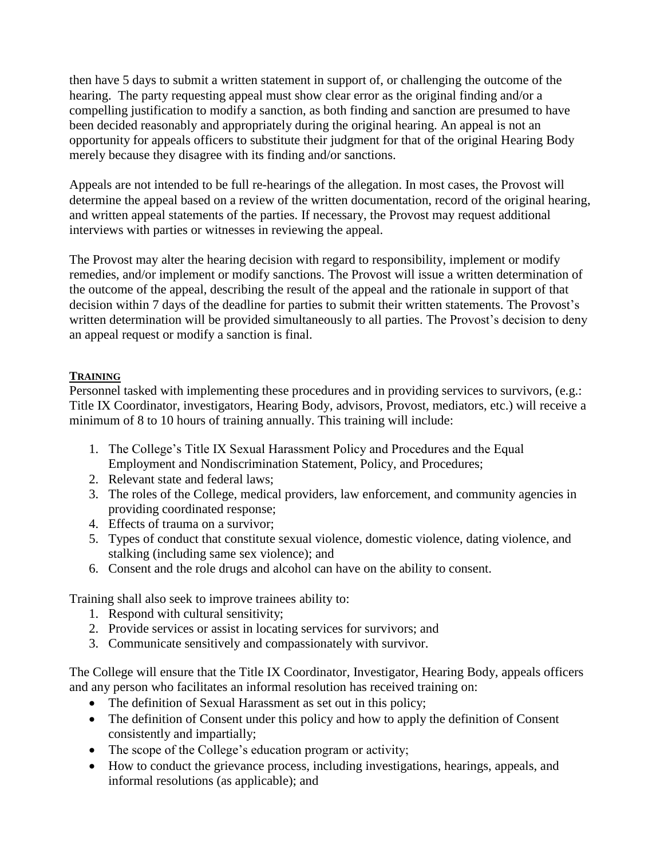then have 5 days to submit a written statement in support of, or challenging the outcome of the hearing. The party requesting appeal must show clear error as the original finding and/or a compelling justification to modify a sanction, as both finding and sanction are presumed to have been decided reasonably and appropriately during the original hearing. An appeal is not an opportunity for appeals officers to substitute their judgment for that of the original Hearing Body merely because they disagree with its finding and/or sanctions.

Appeals are not intended to be full re-hearings of the allegation. In most cases, the Provost will determine the appeal based on a review of the written documentation, record of the original hearing, and written appeal statements of the parties. If necessary, the Provost may request additional interviews with parties or witnesses in reviewing the appeal.

The Provost may alter the hearing decision with regard to responsibility, implement or modify remedies, and/or implement or modify sanctions. The Provost will issue a written determination of the outcome of the appeal, describing the result of the appeal and the rationale in support of that decision within 7 days of the deadline for parties to submit their written statements. The Provost's written determination will be provided simultaneously to all parties. The Provost's decision to deny an appeal request or modify a sanction is final.

### **TRAINING**

Personnel tasked with implementing these procedures and in providing services to survivors, (e.g.: Title IX Coordinator, investigators, Hearing Body, advisors, Provost, mediators, etc.) will receive a minimum of 8 to 10 hours of training annually. This training will include:

- 1. The College's Title IX Sexual Harassment Policy and Procedures and the Equal Employment and Nondiscrimination Statement, Policy, and Procedures;
- 2. Relevant state and federal laws;
- 3. The roles of the College, medical providers, law enforcement, and community agencies in providing coordinated response;
- 4. Effects of trauma on a survivor;
- 5. Types of conduct that constitute sexual violence, domestic violence, dating violence, and stalking (including same sex violence); and
- 6. Consent and the role drugs and alcohol can have on the ability to consent.

Training shall also seek to improve trainees ability to:

- 1. Respond with cultural sensitivity;
- 2. Provide services or assist in locating services for survivors; and
- 3. Communicate sensitively and compassionately with survivor.

The College will ensure that the Title IX Coordinator, Investigator, Hearing Body, appeals officers and any person who facilitates an informal resolution has received training on:

- The definition of Sexual Harassment as set out in this policy;
- The definition of Consent under this policy and how to apply the definition of Consent consistently and impartially;
- The scope of the College's education program or activity;
- How to conduct the grievance process, including investigations, hearings, appeals, and informal resolutions (as applicable); and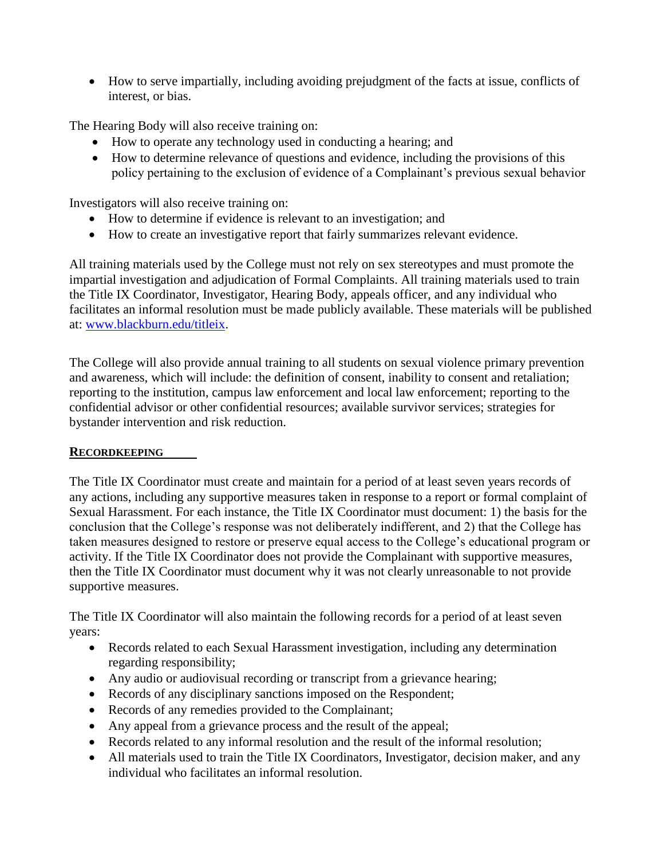• How to serve impartially, including avoiding prejudgment of the facts at issue, conflicts of interest, or bias.

The Hearing Body will also receive training on:

- How to operate any technology used in conducting a hearing; and
- How to determine relevance of questions and evidence, including the provisions of this policy pertaining to the exclusion of evidence of a Complainant's previous sexual behavior

Investigators will also receive training on:

- How to determine if evidence is relevant to an investigation; and
- How to create an investigative report that fairly summarizes relevant evidence.

All training materials used by the College must not rely on sex stereotypes and must promote the impartial investigation and adjudication of Formal Complaints. All training materials used to train the Title IX Coordinator, Investigator, Hearing Body, appeals officer, and any individual who facilitates an informal resolution must be made publicly available. These materials will be published at: [www.blackburn.edu/titleix.](http://www.blackburn.edu/titleix)

The College will also provide annual training to all students on sexual violence primary prevention and awareness, which will include: the definition of consent, inability to consent and retaliation; reporting to the institution, campus law enforcement and local law enforcement; reporting to the confidential advisor or other confidential resources; available survivor services; strategies for bystander intervention and risk reduction.

### **RECORDKEEPING**

The Title IX Coordinator must create and maintain for a period of at least seven years records of any actions, including any supportive measures taken in response to a report or formal complaint of Sexual Harassment. For each instance, the Title IX Coordinator must document: 1) the basis for the conclusion that the College's response was not deliberately indifferent, and 2) that the College has taken measures designed to restore or preserve equal access to the College's educational program or activity. If the Title IX Coordinator does not provide the Complainant with supportive measures, then the Title IX Coordinator must document why it was not clearly unreasonable to not provide supportive measures.

The Title IX Coordinator will also maintain the following records for a period of at least seven years:

- Records related to each Sexual Harassment investigation, including any determination regarding responsibility;
- Any audio or audiovisual recording or transcript from a grievance hearing;
- Records of any disciplinary sanctions imposed on the Respondent;
- Records of any remedies provided to the Complainant;
- Any appeal from a grievance process and the result of the appeal;
- Records related to any informal resolution and the result of the informal resolution;
- All materials used to train the Title IX Coordinators, Investigator, decision maker, and any individual who facilitates an informal resolution.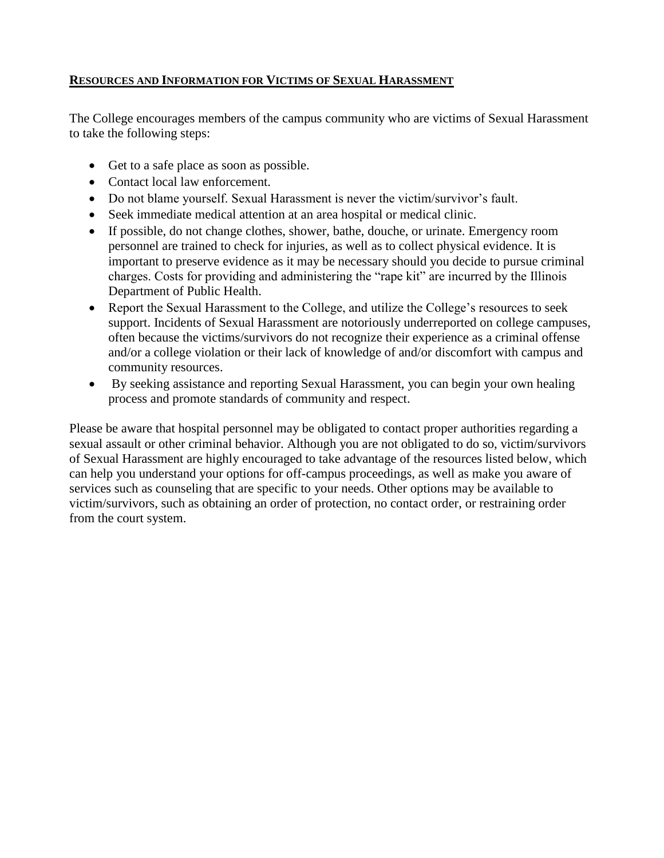### **RESOURCES AND INFORMATION FOR VICTIMS OF SEXUAL HARASSMENT**

The College encourages members of the campus community who are victims of Sexual Harassment to take the following steps:

- Get to a safe place as soon as possible.
- Contact local law enforcement.
- Do not blame yourself. Sexual Harassment is never the victim/survivor's fault.
- Seek immediate medical attention at an area hospital or medical clinic.
- If possible, do not change clothes, shower, bathe, douche, or urinate. Emergency room personnel are trained to check for injuries, as well as to collect physical evidence. It is important to preserve evidence as it may be necessary should you decide to pursue criminal charges. Costs for providing and administering the "rape kit" are incurred by the Illinois Department of Public Health.
- Report the Sexual Harassment to the College, and utilize the College's resources to seek support. Incidents of Sexual Harassment are notoriously underreported on college campuses, often because the victims/survivors do not recognize their experience as a criminal offense and/or a college violation or their lack of knowledge of and/or discomfort with campus and community resources.
- By seeking assistance and reporting Sexual Harassment, you can begin your own healing process and promote standards of community and respect.

Please be aware that hospital personnel may be obligated to contact proper authorities regarding a sexual assault or other criminal behavior. Although you are not obligated to do so, victim/survivors of Sexual Harassment are highly encouraged to take advantage of the resources listed below, which can help you understand your options for off-campus proceedings, as well as make you aware of services such as counseling that are specific to your needs. Other options may be available to victim/survivors, such as obtaining an order of protection, no contact order, or restraining order from the court system.